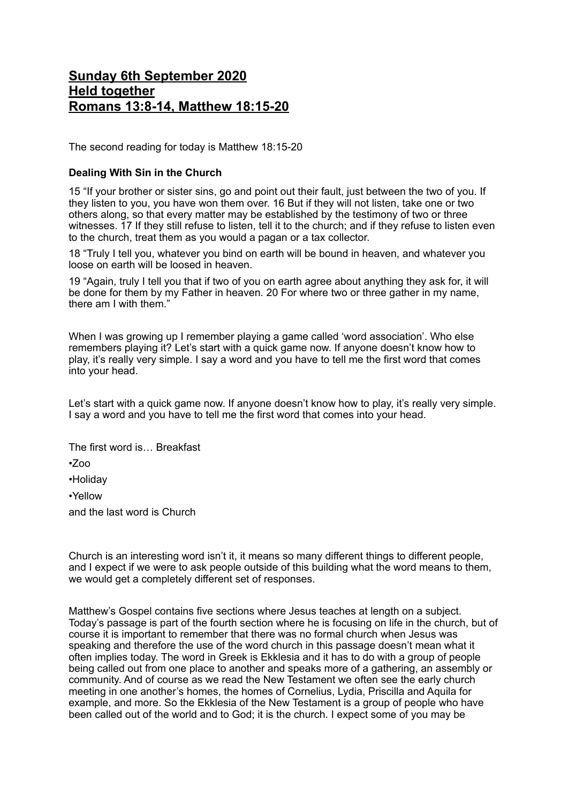## **Sunday 6th September 2020 Held together Romans 13:8-14, Matthew 18:15-20**

The second reading for today is Matthew 18:15-20

## **Dealing With Sin in the Church**

15 "If your brother or sister sins, go and point out their fault, just between the two of you. If they listen to you, you have won them over. 16 But if they will not listen, take one or two others along, so that every matter may be established by the testimony of two or three witnesses. 17 If they still refuse to listen, tell it to the church; and if they refuse to listen even to the church, treat them as you would a pagan or a tax collector.

18 "Truly I tell you, whatever you bind on earth will be bound in heaven, and whatever you loose on earth will be loosed in heaven.

19 "Again, truly I tell you that if two of you on earth agree about anything they ask for, it will be done for them by my Father in heaven. 20 For where two or three gather in my name, there am I with them."

When I was growing up I remember playing a game called 'word association'. Who else remembers playing it? Let's start with a quick game now. If anyone doesn't know how to play, it's really very simple. I say a word and you have to tell me the first word that comes into your head.

Let's start with a quick game now. If anyone doesn't know how to play, it's really very simple. I say a word and you have to tell me the first word that comes into your head.

The first word is… Breakfast

•Zoo

•Holiday

•Yellow

and the last word is Church

Church is an interesting word isn't it, it means so many different things to different people, and I expect if we were to ask people outside of this building what the word means to them, we would get a completely different set of responses.

Matthew's Gospel contains five sections where Jesus teaches at length on a subject. Today's passage is part of the fourth section where he is focusing on life in the church, but of course it is important to remember that there was no formal church when Jesus was speaking and therefore the use of the word church in this passage doesn't mean what it often implies today. The word in Greek is Ekklesia and it has to do with a group of people being called out from one place to another and speaks more of a gathering, an assembly or community. And of course as we read the New Testament we often see the early church meeting in one another's homes, the homes of Cornelius, Lydia, Priscilla and Aquila for example, and more. So the Ekklesia of the New Testament is a group of people who have been called out of the world and to God; it is the church. I expect some of you may be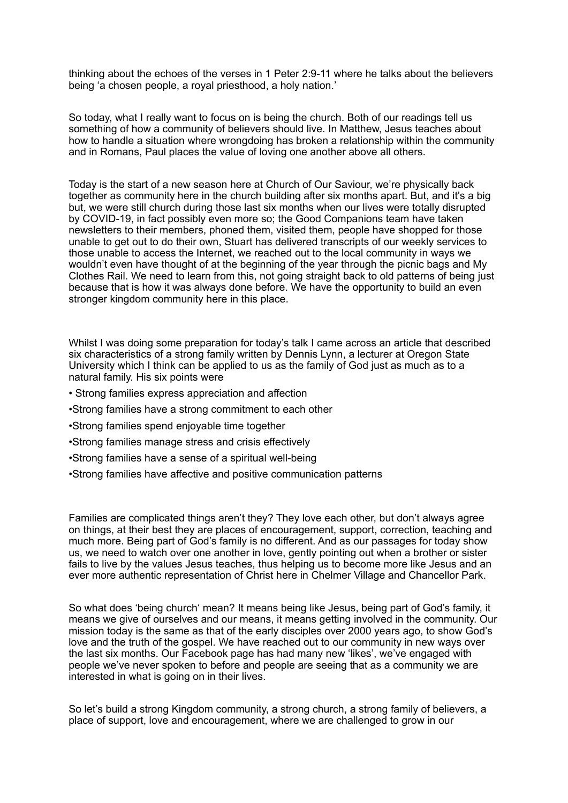thinking about the echoes of the verses in 1 Peter 2:9-11 where he talks about the believers being 'a chosen people, a royal priesthood, a holy nation.'

So today, what I really want to focus on is being the church. Both of our readings tell us something of how a community of believers should live. In Matthew, Jesus teaches about how to handle a situation where wrongdoing has broken a relationship within the community and in Romans, Paul places the value of loving one another above all others.

Today is the start of a new season here at Church of Our Saviour, we're physically back together as community here in the church building after six months apart. But, and it's a big but, we were still church during those last six months when our lives were totally disrupted by COVID-19, in fact possibly even more so; the Good Companions team have taken newsletters to their members, phoned them, visited them, people have shopped for those unable to get out to do their own, Stuart has delivered transcripts of our weekly services to those unable to access the Internet, we reached out to the local community in ways we wouldn't even have thought of at the beginning of the year through the picnic bags and My Clothes Rail. We need to learn from this, not going straight back to old patterns of being just because that is how it was always done before. We have the opportunity to build an even stronger kingdom community here in this place.

Whilst I was doing some preparation for today's talk I came across an article that described six characteristics of a strong family written by Dennis Lynn, a lecturer at Oregon State University which I think can be applied to us as the family of God just as much as to a natural family. His six points were

- Strong families express appreciation and affection
- •Strong families have a strong commitment to each other
- •Strong families spend enjoyable time together
- •Strong families manage stress and crisis effectively
- •Strong families have a sense of a spiritual well-being
- •Strong families have affective and positive communication patterns

Families are complicated things aren't they? They love each other, but don't always agree on things, at their best they are places of encouragement, support, correction, teaching and much more. Being part of God's family is no different. And as our passages for today show us, we need to watch over one another in love, gently pointing out when a brother or sister fails to live by the values Jesus teaches, thus helping us to become more like Jesus and an ever more authentic representation of Christ here in Chelmer Village and Chancellor Park.

So what does 'being church' mean? It means being like Jesus, being part of God's family, it means we give of ourselves and our means, it means getting involved in the community. Our mission today is the same as that of the early disciples over 2000 years ago, to show God's love and the truth of the gospel. We have reached out to our community in new ways over the last six months. Our Facebook page has had many new 'likes', we've engaged with people we've never spoken to before and people are seeing that as a community we are interested in what is going on in their lives.

So let's build a strong Kingdom community, a strong church, a strong family of believers, a place of support, love and encouragement, where we are challenged to grow in our